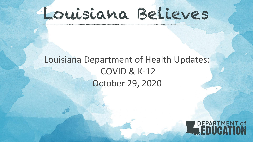## Louisiana Believes

### Louisiana Department of Health Updates: COVID & K-12 October 29, 2020

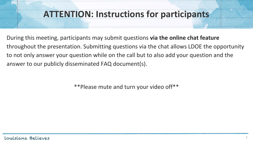#### **ATTENTION: Instructions for participants**

During this meeting, participants may submit questions **via the online chat feature** throughout the presentation. Submitting questions via the chat allows LDOE the opportunity to not only answer your question while on the call but to also add your question and the answer to our publicly disseminated FAQ document(s).

\*\*Please mute and turn your video off\*\*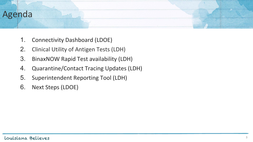# Agenda

- 1. Connectivity Dashboard (LDOE)
- 2. Clinical Utility of Antigen Tests (LDH)
- 3. BinaxNOW Rapid Test availability (LDH)
- 4. Quarantine/Contact Tracing Updates (LDH)
- 5. Superintendent Reporting Tool (LDH)
- 6. Next Steps (LDOE)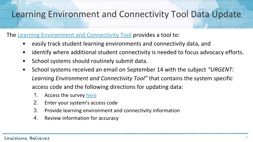#### Learning Environment and Connectivity Tool Data Update

The [Learning Environment and Connectivity Tool](https://datastudio.google.com/u/0/reporting/57592098-3276-452a-9872-456384c0acdc/page/2oidB?s=jF2UNzlqNKM) provides a tool to:

- easily track student learning environments and connectivity data, and
- identify where additional student connectivity is needed to focus advocacy efforts.
- School systems should routinely submit data.
- School systems received an email on September 14 with the subject *"URGENT: Learning Environment and Connectivity Tool"* that contains the system specific access code and the following directions for updating data:
	- 1. Access the survey [here](https://form.jotform.com/202355781059054)
	- 2. Enter your system's access code
	- 3. Provide learning environment and connectivity information
	- 4. Review information for accuracy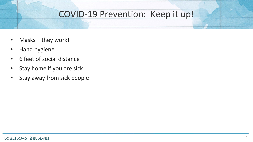#### COVID-19 Prevention: Keep it up!

- Masks they work!
- Hand hygiene
- 6 feet of social distance
- Stay home if you are sick
- Stay away from sick people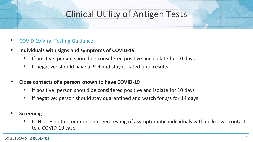#### Clinical Utility of Antigen Tests

- [COVID 19 Viral Testing Guidance](https://ldh.la.gov/assets/oph/Center-CP/HANs/HANS20-46-Update-COVID-19ViralTestingGuidance.pdf)
- **• Individuals with signs and symptoms of COVID-19**
	- If positive: person should be considered positive and isolate for 10 days
	- If negative: should have a PCR and stay isolated until results
- **• Close contacts of a person known to have COVID-19**
	- If positive: person should be considered positive and isolate for 10 days
	- If negative: person should stay quarantined and watch for s/s for 14 days
- **• Screening**
	- LDH does not recommend antigen testing of asymptomatic individuals with no known contact to a COVID-19 case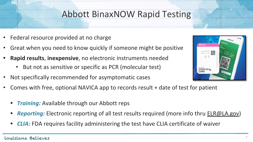#### Abbott BinaxNOW Rapid Testing

- Federal resource provided at no charge
- Great when you need to know quickly if someone might be positive
- **• Rapid results**, **inexpensive**, no electronic instruments needed
	- But not as sensitive or specific as PCR (molecular test)
- Not specifically recommended for asymptomatic cases
- Comes with free, optional NAVICA app to records result + date of test for patient
	- *• Training:* Available through our Abbott reps
	- *• Reporting:* Electronic reporting of all test results required (more info thru [ELR@LA.gov](mailto:ELR@LA.gov))
	- *• CLIA:* FDA requires facility administering the test have CLIA certificate of waiver



#### Louisiana Believes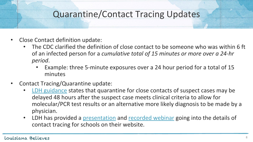#### Quarantine/Contact Tracing Updates

- Close Contact definition update:
	- The CDC clarified the definition of close contact to be someone who was within 6 ft of an infected person for a *cumulative total of 15 minutes or more over a 24-hr period*.
		- Example: three 5-minute exposures over a 24 hour period for a total of 15 minutes
- Contact Tracing/Quarantine update:
	- [LDH guidance](https://ldh.la.gov/assets/oph/Coronavirus/resources/ContactTracing/LDH_COVID-Contact-Tracing-in-Schools.pdf) states that quarantine for close contacts of suspect cases may be delayed 48 hours after the suspect case meets clinical criteria to allow for molecular/PCR test results or an alternative more likely diagnosis to be made by a physician.
	- **LDH** has provided a [presentation](https://ldh.la.gov/assets/oph/Coronavirus/resources/ContactTracing/LDH_COVID-Contact-Tracing-in-Schools-Presentation.pdf) and [recorded webinar](https://www.youtube.com/watch?v=cbHO17764sM&feature=youtu.be) going into the details of contact tracing for schools on their website.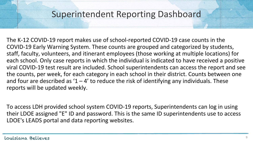#### Superintendent Reporting Dashboard

The K-12 COVID-19 report makes use of school-reported COVID-19 case counts in the COVID-19 Early Warning System. These counts are grouped and categorized by students, staff, faculty, volunteers, and itinerant employees (those working at multiple locations) for each school. Only case reports in which the individual is indicated to have received a positive viral COVID-19 test result are included. School superintendents can access the report and see the counts, per week, for each category in each school in their district. Counts between one and four are described as  $1 - 4'$  to reduce the risk of identifying any individuals. These reports will be updated weekly.

To access LDH provided school system COVID-19 reports, Superintendents can log in using their LDOE assigned "E" ID and password. This is the same ID superintendents use to access LDOE's LEADS portal and data reporting websites.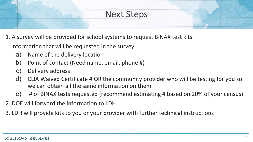#### Next Steps

1. A survey will be provided for school systems to request BINAX test kits.

Information that will be requested in the survey:

- a) Name of the delivery location
- b) Point of contact (Need name, email, phone #)
- c) Delivery address
- d) CLIA Waived Certificate # OR the community provider who will be testing for you so we can obtain all the same information on them
- e) # of BINAX tests requested (recommend estimating # based on 20% of your census)
- 2. DOE will forward the information to LDH
- 3. LDH will provide kits to you or your provider with further technical instructions